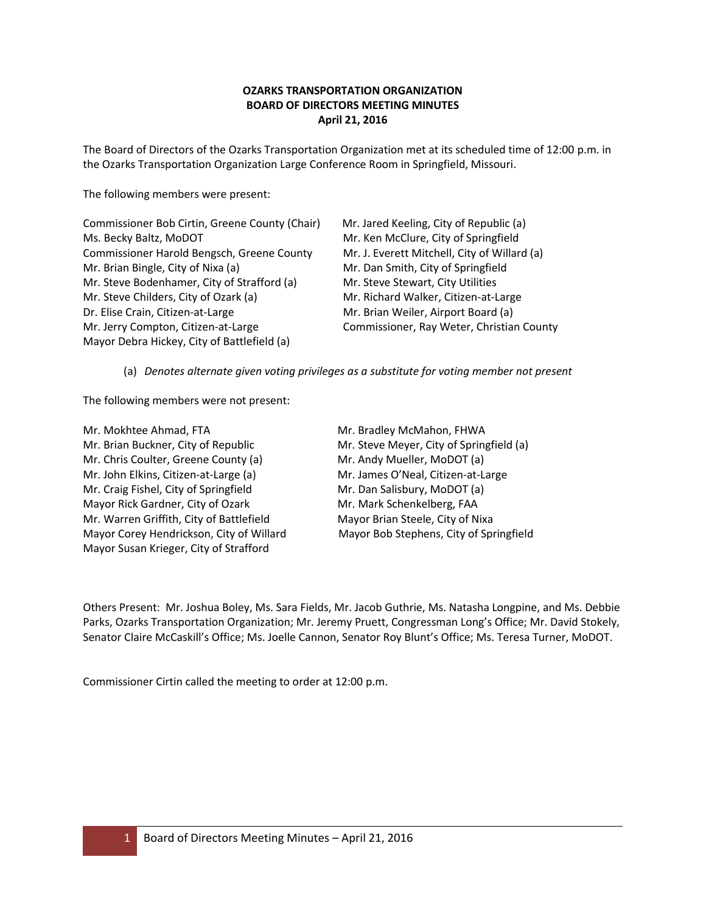## **OZARKS TRANSPORTATION ORGANIZATION BOARD OF DIRECTORS MEETING MINUTES April 21, 2016**

The Board of Directors of the Ozarks Transportation Organization met at its scheduled time of 12:00 p.m. in the Ozarks Transportation Organization Large Conference Room in Springfield, Missouri.

The following members were present:

Commissioner Bob Cirtin, Greene County (Chair) Mr. Jared Keeling, City of Republic (a) Ms. Becky Baltz, MoDOT Mr. Ken McClure, City of Springfield Commissioner Harold Bengsch, Greene County Mr. J. Everett Mitchell, City of Willard (a) Mr. Brian Bingle, City of Nixa (a) Mr. Dan Smith, City of Springfield Mr. Steve Bodenhamer, City of Strafford (a) Mr. Steve Stewart, City Utilities Mr. Steve Childers, City of Ozark (a) Mr. Richard Walker, Citizen-at-Large Dr. Elise Crain, Citizen-at-Large Music Creation Mr. Brian Weiler, Airport Board (a) Mr. Jerry Compton, Citizen-at-Large Commissioner, Ray Weter, Christian County Mayor Debra Hickey, City of Battlefield (a)

(a) *Denotes alternate given voting privileges as a substitute for voting member not present*

The following members were not present:

Mr. Mokhtee Ahmad, FTA Mr. Bradley McMahon, FHWA Mr. Brian Buckner, City of Republic Mr. Steve Meyer, City of Springfield (a) Mr. Chris Coulter, Greene County (a) Mr. Andy Mueller, MoDOT (a) Mr. John Elkins, Citizen-at-Large (a) Mr. James O'Neal, Citizen-at-Large Mr. Craig Fishel, City of Springfield Mr. Dan Salisbury, MoDOT (a) Mayor Rick Gardner, City of Ozark Mr. Mark Schenkelberg, FAA Mr. Warren Griffith, City of Battlefield Mayor Brian Steele, City of Nixa Mayor Corey Hendrickson, City of Willard Mayor Bob Stephens, City of Springfield Mayor Susan Krieger, City of Strafford

Others Present: Mr. Joshua Boley, Ms. Sara Fields, Mr. Jacob Guthrie, Ms. Natasha Longpine, and Ms. Debbie Parks, Ozarks Transportation Organization; Mr. Jeremy Pruett, Congressman Long's Office; Mr. David Stokely, Senator Claire McCaskill's Office; Ms. Joelle Cannon, Senator Roy Blunt's Office; Ms. Teresa Turner, MoDOT.

Commissioner Cirtin called the meeting to order at 12:00 p.m.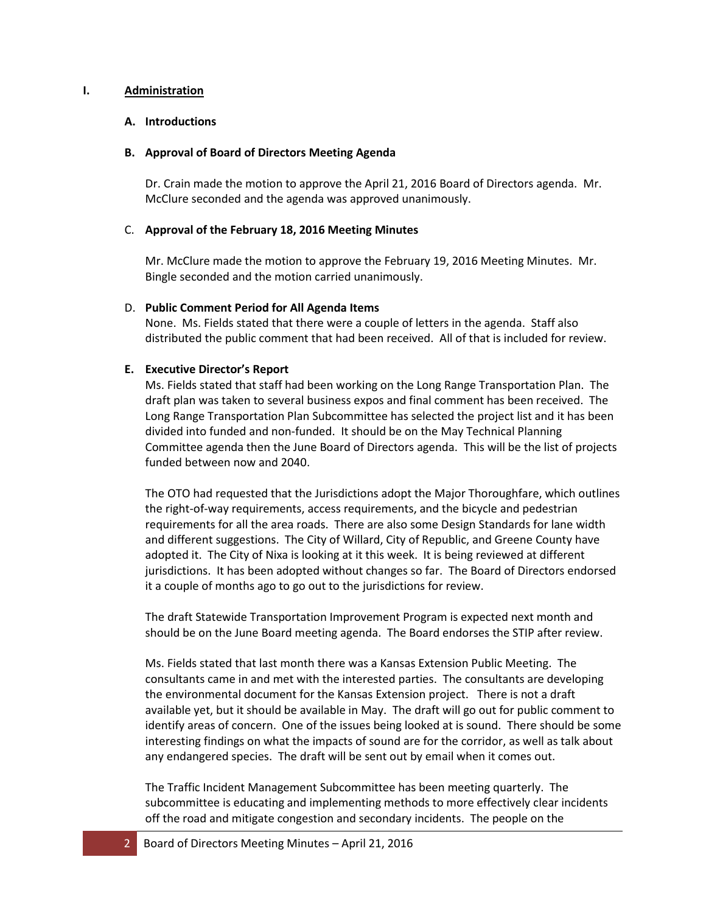### **I. Administration**

### **A. Introductions**

### **B. Approval of Board of Directors Meeting Agenda**

Dr. Crain made the motion to approve the April 21, 2016 Board of Directors agenda. Mr. McClure seconded and the agenda was approved unanimously.

## C. **Approval of the February 18, 2016 Meeting Minutes**

Mr. McClure made the motion to approve the February 19, 2016 Meeting Minutes. Mr. Bingle seconded and the motion carried unanimously.

## D. **Public Comment Period for All Agenda Items**

None. Ms. Fields stated that there were a couple of letters in the agenda. Staff also distributed the public comment that had been received. All of that is included for review.

## **E. Executive Director's Report**

Ms. Fields stated that staff had been working on the Long Range Transportation Plan. The draft plan was taken to several business expos and final comment has been received. The Long Range Transportation Plan Subcommittee has selected the project list and it has been divided into funded and non-funded. It should be on the May Technical Planning Committee agenda then the June Board of Directors agenda. This will be the list of projects funded between now and 2040.

The OTO had requested that the Jurisdictions adopt the Major Thoroughfare, which outlines the right-of-way requirements, access requirements, and the bicycle and pedestrian requirements for all the area roads. There are also some Design Standards for lane width and different suggestions. The City of Willard, City of Republic, and Greene County have adopted it. The City of Nixa is looking at it this week. It is being reviewed at different jurisdictions. It has been adopted without changes so far. The Board of Directors endorsed it a couple of months ago to go out to the jurisdictions for review.

The draft Statewide Transportation Improvement Program is expected next month and should be on the June Board meeting agenda. The Board endorses the STIP after review.

Ms. Fields stated that last month there was a Kansas Extension Public Meeting. The consultants came in and met with the interested parties. The consultants are developing the environmental document for the Kansas Extension project. There is not a draft available yet, but it should be available in May. The draft will go out for public comment to identify areas of concern. One of the issues being looked at is sound. There should be some interesting findings on what the impacts of sound are for the corridor, as well as talk about any endangered species. The draft will be sent out by email when it comes out.

The Traffic Incident Management Subcommittee has been meeting quarterly. The subcommittee is educating and implementing methods to more effectively clear incidents off the road and mitigate congestion and secondary incidents. The people on the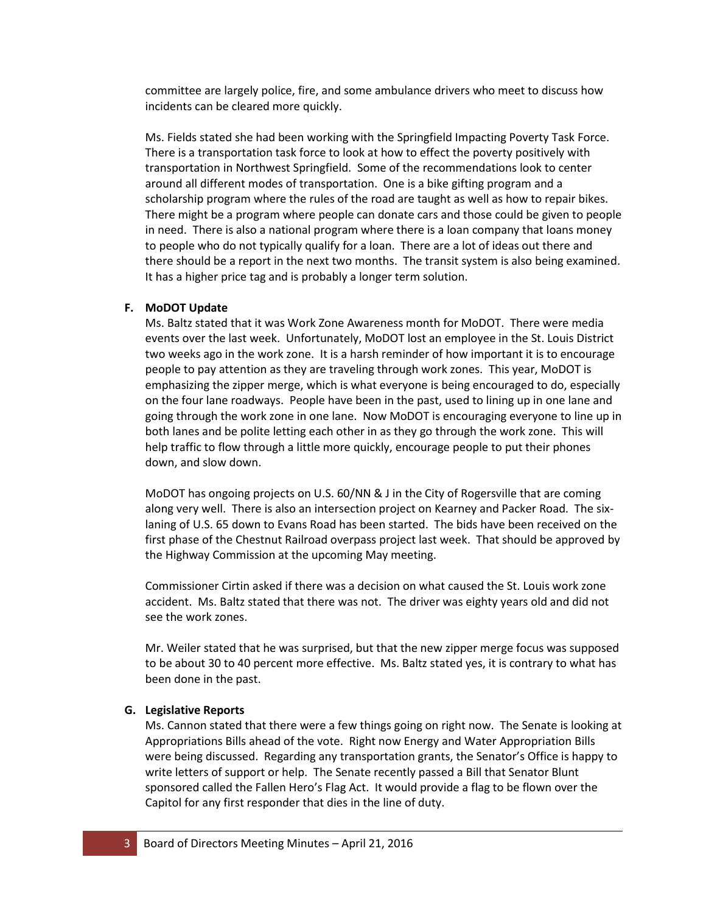committee are largely police, fire, and some ambulance drivers who meet to discuss how incidents can be cleared more quickly.

Ms. Fields stated she had been working with the Springfield Impacting Poverty Task Force. There is a transportation task force to look at how to effect the poverty positively with transportation in Northwest Springfield. Some of the recommendations look to center around all different modes of transportation. One is a bike gifting program and a scholarship program where the rules of the road are taught as well as how to repair bikes. There might be a program where people can donate cars and those could be given to people in need. There is also a national program where there is a loan company that loans money to people who do not typically qualify for a loan. There are a lot of ideas out there and there should be a report in the next two months. The transit system is also being examined. It has a higher price tag and is probably a longer term solution.

## **F. MoDOT Update**

Ms. Baltz stated that it was Work Zone Awareness month for MoDOT. There were media events over the last week. Unfortunately, MoDOT lost an employee in the St. Louis District two weeks ago in the work zone. It is a harsh reminder of how important it is to encourage people to pay attention as they are traveling through work zones. This year, MoDOT is emphasizing the zipper merge, which is what everyone is being encouraged to do, especially on the four lane roadways. People have been in the past, used to lining up in one lane and going through the work zone in one lane. Now MoDOT is encouraging everyone to line up in both lanes and be polite letting each other in as they go through the work zone. This will help traffic to flow through a little more quickly, encourage people to put their phones down, and slow down.

MoDOT has ongoing projects on U.S. 60/NN & J in the City of Rogersville that are coming along very well. There is also an intersection project on Kearney and Packer Road. The sixlaning of U.S. 65 down to Evans Road has been started. The bids have been received on the first phase of the Chestnut Railroad overpass project last week. That should be approved by the Highway Commission at the upcoming May meeting.

Commissioner Cirtin asked if there was a decision on what caused the St. Louis work zone accident. Ms. Baltz stated that there was not. The driver was eighty years old and did not see the work zones.

Mr. Weiler stated that he was surprised, but that the new zipper merge focus was supposed to be about 30 to 40 percent more effective. Ms. Baltz stated yes, it is contrary to what has been done in the past.

#### **G. Legislative Reports**

Ms. Cannon stated that there were a few things going on right now. The Senate is looking at Appropriations Bills ahead of the vote. Right now Energy and Water Appropriation Bills were being discussed. Regarding any transportation grants, the Senator's Office is happy to write letters of support or help. The Senate recently passed a Bill that Senator Blunt sponsored called the Fallen Hero's Flag Act. It would provide a flag to be flown over the Capitol for any first responder that dies in the line of duty.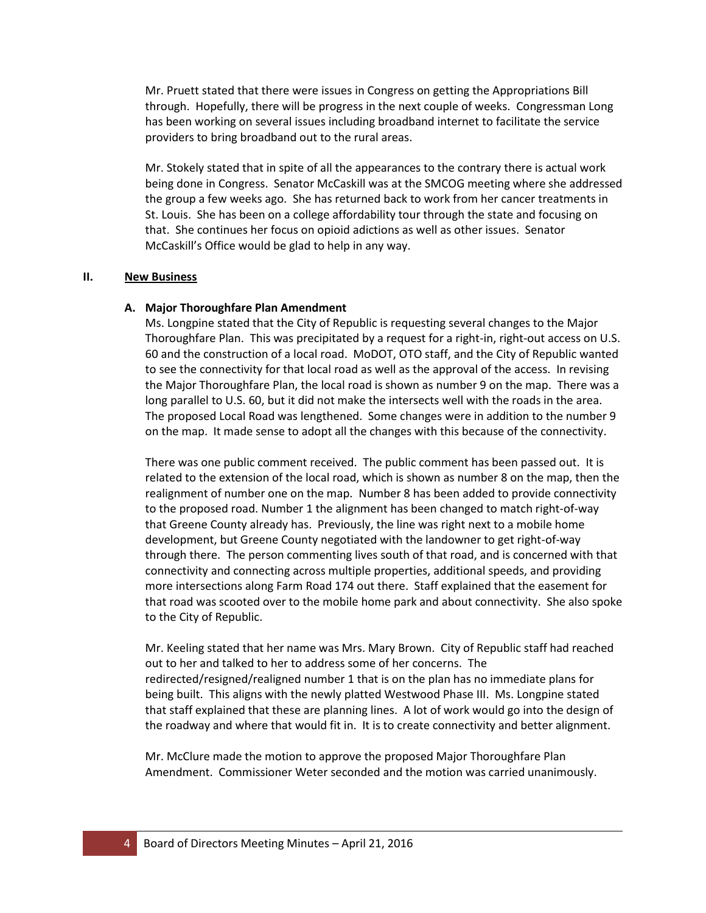Mr. Pruett stated that there were issues in Congress on getting the Appropriations Bill through. Hopefully, there will be progress in the next couple of weeks. Congressman Long has been working on several issues including broadband internet to facilitate the service providers to bring broadband out to the rural areas.

Mr. Stokely stated that in spite of all the appearances to the contrary there is actual work being done in Congress. Senator McCaskill was at the SMCOG meeting where she addressed the group a few weeks ago. She has returned back to work from her cancer treatments in St. Louis. She has been on a college affordability tour through the state and focusing on that. She continues her focus on opioid adictions as well as other issues. Senator McCaskill's Office would be glad to help in any way.

#### **II. New Business**

## **A. Major Thoroughfare Plan Amendment**

Ms. Longpine stated that the City of Republic is requesting several changes to the Major Thoroughfare Plan. This was precipitated by a request for a right-in, right-out access on U.S. 60 and the construction of a local road. MoDOT, OTO staff, and the City of Republic wanted to see the connectivity for that local road as well as the approval of the access. In revising the Major Thoroughfare Plan, the local road is shown as number 9 on the map. There was a long parallel to U.S. 60, but it did not make the intersects well with the roads in the area. The proposed Local Road was lengthened. Some changes were in addition to the number 9 on the map. It made sense to adopt all the changes with this because of the connectivity.

There was one public comment received. The public comment has been passed out. It is related to the extension of the local road, which is shown as number 8 on the map, then the realignment of number one on the map. Number 8 has been added to provide connectivity to the proposed road. Number 1 the alignment has been changed to match right-of-way that Greene County already has. Previously, the line was right next to a mobile home development, but Greene County negotiated with the landowner to get right-of-way through there. The person commenting lives south of that road, and is concerned with that connectivity and connecting across multiple properties, additional speeds, and providing more intersections along Farm Road 174 out there. Staff explained that the easement for that road was scooted over to the mobile home park and about connectivity. She also spoke to the City of Republic.

Mr. Keeling stated that her name was Mrs. Mary Brown. City of Republic staff had reached out to her and talked to her to address some of her concerns. The redirected/resigned/realigned number 1 that is on the plan has no immediate plans for being built. This aligns with the newly platted Westwood Phase III. Ms. Longpine stated that staff explained that these are planning lines. A lot of work would go into the design of the roadway and where that would fit in. It is to create connectivity and better alignment.

Mr. McClure made the motion to approve the proposed Major Thoroughfare Plan Amendment. Commissioner Weter seconded and the motion was carried unanimously.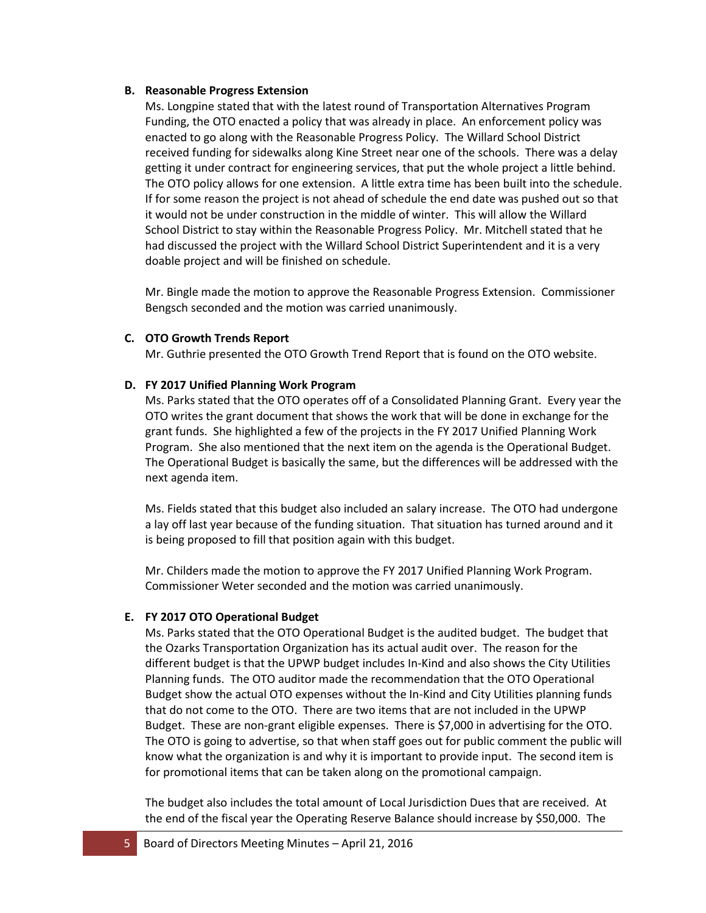### **B. Reasonable Progress Extension**

Ms. Longpine stated that with the latest round of Transportation Alternatives Program Funding, the OTO enacted a policy that was already in place. An enforcement policy was enacted to go along with the Reasonable Progress Policy. The Willard School District received funding for sidewalks along Kine Street near one of the schools. There was a delay getting it under contract for engineering services, that put the whole project a little behind. The OTO policy allows for one extension. A little extra time has been built into the schedule. If for some reason the project is not ahead of schedule the end date was pushed out so that it would not be under construction in the middle of winter. This will allow the Willard School District to stay within the Reasonable Progress Policy. Mr. Mitchell stated that he had discussed the project with the Willard School District Superintendent and it is a very doable project and will be finished on schedule.

Mr. Bingle made the motion to approve the Reasonable Progress Extension. Commissioner Bengsch seconded and the motion was carried unanimously.

## **C. OTO Growth Trends Report**

Mr. Guthrie presented the OTO Growth Trend Report that is found on the OTO website.

## **D. FY 2017 Unified Planning Work Program**

Ms. Parks stated that the OTO operates off of a Consolidated Planning Grant. Every year the OTO writes the grant document that shows the work that will be done in exchange for the grant funds. She highlighted a few of the projects in the FY 2017 Unified Planning Work Program. She also mentioned that the next item on the agenda is the Operational Budget. The Operational Budget is basically the same, but the differences will be addressed with the next agenda item.

Ms. Fields stated that this budget also included an salary increase. The OTO had undergone a lay off last year because of the funding situation. That situation has turned around and it is being proposed to fill that position again with this budget.

Mr. Childers made the motion to approve the FY 2017 Unified Planning Work Program. Commissioner Weter seconded and the motion was carried unanimously.

## **E. FY 2017 OTO Operational Budget**

Ms. Parks stated that the OTO Operational Budget is the audited budget. The budget that the Ozarks Transportation Organization has its actual audit over. The reason for the different budget is that the UPWP budget includes In-Kind and also shows the City Utilities Planning funds. The OTO auditor made the recommendation that the OTO Operational Budget show the actual OTO expenses without the In-Kind and City Utilities planning funds that do not come to the OTO. There are two items that are not included in the UPWP Budget. These are non-grant eligible expenses. There is \$7,000 in advertising for the OTO. The OTO is going to advertise, so that when staff goes out for public comment the public will know what the organization is and why it is important to provide input. The second item is for promotional items that can be taken along on the promotional campaign.

The budget also includes the total amount of Local Jurisdiction Dues that are received. At the end of the fiscal year the Operating Reserve Balance should increase by \$50,000. The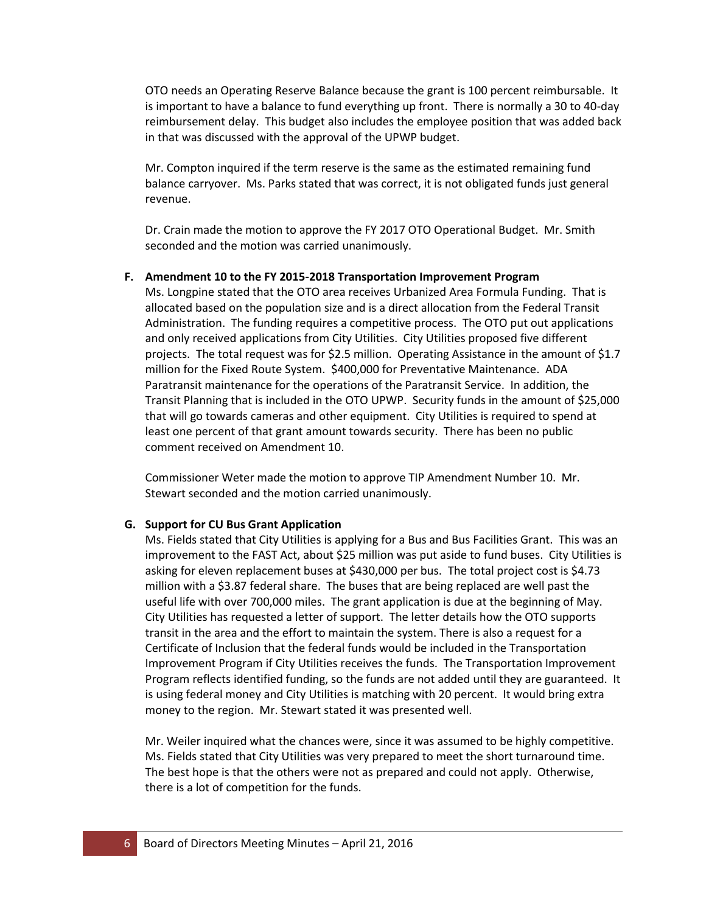OTO needs an Operating Reserve Balance because the grant is 100 percent reimbursable. It is important to have a balance to fund everything up front. There is normally a 30 to 40-day reimbursement delay. This budget also includes the employee position that was added back in that was discussed with the approval of the UPWP budget.

Mr. Compton inquired if the term reserve is the same as the estimated remaining fund balance carryover. Ms. Parks stated that was correct, it is not obligated funds just general revenue.

Dr. Crain made the motion to approve the FY 2017 OTO Operational Budget. Mr. Smith seconded and the motion was carried unanimously.

## **F. Amendment 10 to the FY 2015-2018 Transportation Improvement Program**

Ms. Longpine stated that the OTO area receives Urbanized Area Formula Funding. That is allocated based on the population size and is a direct allocation from the Federal Transit Administration. The funding requires a competitive process. The OTO put out applications and only received applications from City Utilities. City Utilities proposed five different projects. The total request was for \$2.5 million. Operating Assistance in the amount of \$1.7 million for the Fixed Route System. \$400,000 for Preventative Maintenance. ADA Paratransit maintenance for the operations of the Paratransit Service. In addition, the Transit Planning that is included in the OTO UPWP. Security funds in the amount of \$25,000 that will go towards cameras and other equipment. City Utilities is required to spend at least one percent of that grant amount towards security. There has been no public comment received on Amendment 10.

Commissioner Weter made the motion to approve TIP Amendment Number 10. Mr. Stewart seconded and the motion carried unanimously.

#### **G. Support for CU Bus Grant Application**

Ms. Fields stated that City Utilities is applying for a Bus and Bus Facilities Grant. This was an improvement to the FAST Act, about \$25 million was put aside to fund buses. City Utilities is asking for eleven replacement buses at \$430,000 per bus. The total project cost is \$4.73 million with a \$3.87 federal share. The buses that are being replaced are well past the useful life with over 700,000 miles. The grant application is due at the beginning of May. City Utilities has requested a letter of support. The letter details how the OTO supports transit in the area and the effort to maintain the system. There is also a request for a Certificate of Inclusion that the federal funds would be included in the Transportation Improvement Program if City Utilities receives the funds. The Transportation Improvement Program reflects identified funding, so the funds are not added until they are guaranteed. It is using federal money and City Utilities is matching with 20 percent. It would bring extra money to the region. Mr. Stewart stated it was presented well.

Mr. Weiler inquired what the chances were, since it was assumed to be highly competitive. Ms. Fields stated that City Utilities was very prepared to meet the short turnaround time. The best hope is that the others were not as prepared and could not apply. Otherwise, there is a lot of competition for the funds.